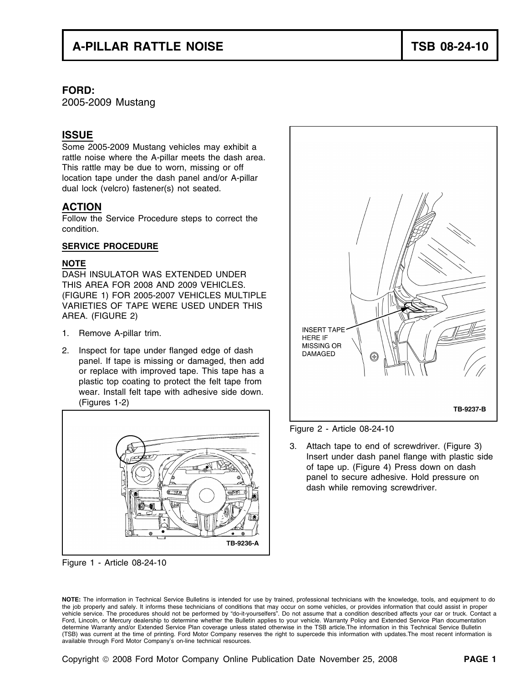# **A-PILLAR RATTLE NOISE TSB 08-24-10**

### **FORD:**

2005-2009 Mustang

## **ISSUE**

Some 2005-2009 Mustang vehicles may exhibit a rattle noise where the A-pillar meets the dash area. This rattle may be due to worn, missing or off location tape under the dash panel and/or A-pillar dual lock (velcro) fastener(s) not seated.

## **ACTION**

Follow the Service Procedure steps to correct the condition.

### **SERVICE PROCEDURE**

### **NOTE**

DASH INSULATOR WAS EXTENDED UNDER THIS AREA FOR 2008 AND 2009 VEHICLES. (FIGURE 1) FOR 2005-2007 VEHICLES MULTIPLE VARIETIES OF TAPE WERE USED UNDER THIS AREA. (FIGURE 2)

- 1. Remove A-pillar trim.
- 2. Inspect for tape under flanged edge of dash panel. If tape is missing or damaged, then add or replace with improved tape. This tape has a plastic top coating to protect the felt tape from wear. Install felt tape with adhesive side down. (Figures 1-2)



available through Ford Motor Company's on-line technical resources.

Figure 1 - Article 08-24-10





Figure 2 - Article 08-24-10

3. Attach tape to end of screwdriver. (Figure 3) Insert under dash panel flange with plastic side of tape up. (Figure 4) Press down on dash panel to secure adhesive. Hold pressure on dash while removing screwdriver.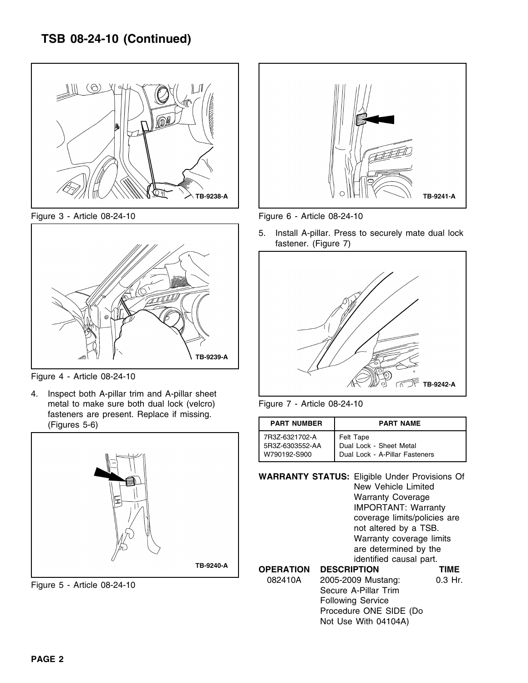



Figure 4 - Article 08-24-10

4. Inspect both A-pillar trim and A-pillar sheet metal to make sure both dual lock (velcro) Figure 7 - Article 08-24-10 fasteners are present. Replace if missing. **(Figures 5-6)** 





Figure 3 - Article 08-24-10 Figure 6 - Article 08-24-10

5. Install A-pillar. Press to securely mate dual lock fastener. (Figure 7)



| <b>PART NUMBER</b> | <b>PART NAME</b>               |
|--------------------|--------------------------------|
| 7R3Z-6321702-A     | Felt Tape                      |
| 5R3Z-6303552-AA    | Dual Lock - Sheet Metal        |
| W790192-S900       | Dual Lock - A-Pillar Fasteners |

**WARRANTY STATUS:** Eligible Under Provisions Of New Vehicle Limited Warranty Coverage IMPORTANT: Warranty coverage limits/policies are not altered by a TSB. Warranty coverage limits are determined by the identified causal part. **OPERATION DESCRIPTION TIME** 082410A 2005-2009 Mustang: 0.3 Hr.<br>Figure 5 - Article 08-24-10 **Secure A-Pillar Trim** Following Service Procedure ONE SIDE (Do

Not Use With 04104A)